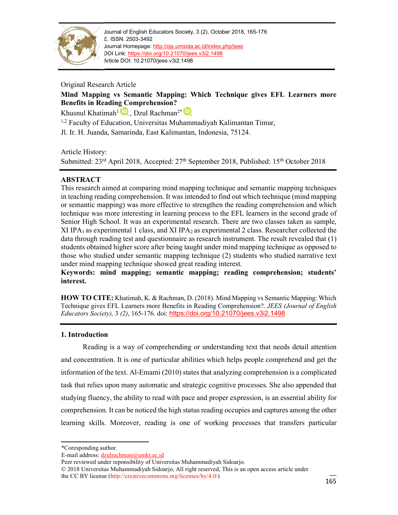

Journal of English Educators Society, 3 (2), October 2018, 165-176 E. ISSN. 2503-3492 Journal Homepage: http://ojs.umsida.ac.id/index.php/jees DOI Link: https://doi.org/10.21070/jees.v3i2.1498 Article DOI: 10.21070/jees.v3i2.1498

Original Research Article

# **Mind Mapping vs Semantic Mapping: Which Technique gives EFL Learners more Benefits in Reading Comprehension?**

Khusnul Khatimah<sup>1</sup><sup>1</sup>, Dzul Rachman<sup>2\*</sup>

 $1,2$  Faculty of Education, Universitas Muhammadiyah Kalimantan Timur,

Jl. Ir. H. Juanda, Samarinda, East Kalimantan, Indonesia, 75124.

Article History:

Submitted: 23<sup>rd</sup> April 2018, Accepted: 27<sup>th</sup> September 2018, Published: 15<sup>th</sup> October 2018

# **ABSTRACT**

This research aimed at comparing mind mapping technique and semantic mapping techniques in teaching reading comprehension. It was intended to find out which technique (mind mapping or semantic mapping) was more effective to strengthen the reading comprehension and which technique was more interesting in learning process to the EFL learners in the second grade of Senior High School. It was an experimental research. There are two classes taken as sample, XI IPA<sub>1</sub> as experimental 1 class, and XI IPA<sub>2</sub> as experimental 2 class. Researcher collected the data through reading test and questionnaire as research instrument. The result revealed that (1) students obtained higher score after being taught under mind mapping technique as opposed to those who studied under semantic mapping technique (2) students who studied narrative text under mind mapping technique showed great reading interest.

**Keywords: mind mapping; semantic mapping; reading comprehension; students' interest.**

**HOW TO CITE:** Khatimah, K. & Rachman, D. (2018). Mind Mapping vs Semantic Mapping: Which Technique gives EFL Learners more Benefits in Reading Comprehension?. *JEES (Journal of English Educators Society),* 3 *(2)*, 165-176. doi: https://doi.org/10.21070/jees.v3i2.1498

## **1. Introduction**

Reading is a way of comprehending or understanding text that needs detail attention and concentration. It is one of particular abilities which helps people comprehend and get the information of the text. Al-Emami (2010) states that analyzing comprehension is a complicated task that relies upon many automatic and strategic cognitive processes. She also appended that studying fluency, the ability to read with pace and proper expression, is an essential ability for comprehension. It can be noticed the high status reading occupies and captures among the other learning skills. Moreover, reading is one of working processes that transfers particular

<sup>\*</sup>Coresponding author.

E-mail address: dzulrachman@umkt.ac.id

Peer reviewed under reponsibility of Universitas Muhammadiyah Sidoarjo.

<sup>© 2018</sup> Universitas Muhammadiyah Sidoarjo, All right reserved, This is an open access article under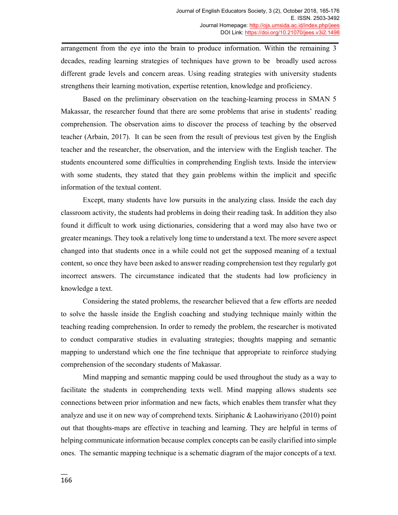arrangement from the eye into the brain to produce information. Within the remaining 3 decades, reading learning strategies of techniques have grown to be broadly used across different grade levels and concern areas. Using reading strategies with university students strengthens their learning motivation, expertise retention, knowledge and proficiency.

Based on the preliminary observation on the teaching-learning process in SMAN 5 Makassar, the researcher found that there are some problems that arise in students' reading comprehension. The observation aims to discover the process of teaching by the observed teacher (Arbain, 2017). It can be seen from the result of previous test given by the English teacher and the researcher, the observation, and the interview with the English teacher. The students encountered some difficulties in comprehending English texts. Inside the interview with some students, they stated that they gain problems within the implicit and specific information of the textual content.

Except, many students have low pursuits in the analyzing class. Inside the each day classroom activity, the students had problems in doing their reading task. In addition they also found it difficult to work using dictionaries, considering that a word may also have two or greater meanings. They took a relatively long time to understand a text. The more severe aspect changed into that students once in a while could not get the supposed meaning of a textual content, so once they have been asked to answer reading comprehension test they regularly got incorrect answers. The circumstance indicated that the students had low proficiency in knowledge a text.

Considering the stated problems, the researcher believed that a few efforts are needed to solve the hassle inside the English coaching and studying technique mainly within the teaching reading comprehension. In order to remedy the problem, the researcher is motivated to conduct comparative studies in evaluating strategies; thoughts mapping and semantic mapping to understand which one the fine technique that appropriate to reinforce studying comprehension of the secondary students of Makassar.

Mind mapping and semantic mapping could be used throughout the study as a way to facilitate the students in comprehending texts well. Mind mapping allows students see connections between prior information and new facts, which enables them transfer what they analyze and use it on new way of comprehend texts. Siriphanic & Laohawiriyano (2010) point out that thoughts-maps are effective in teaching and learning. They are helpful in terms of helping communicate information because complex concepts can be easily clarified into simple ones. The semantic mapping technique is a schematic diagram of the major concepts of a text.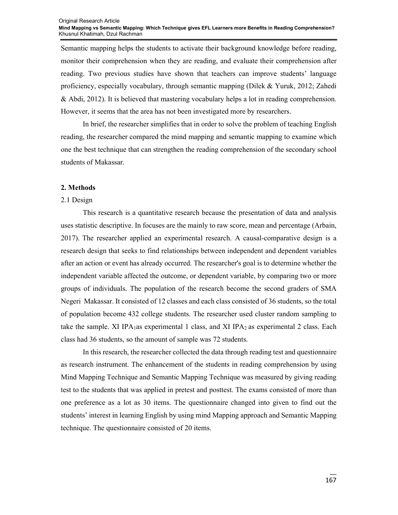Semantic mapping helps the students to activate their background knowledge before reading, monitor their comprehension when they are reading, and evaluate their comprehension after reading. Two previous studies have shown that teachers can improve students' language proficiency, especially vocabulary, through semantic mapping (Dilek & Yuruk, 2012; Zahedi & Abdi, 2012). It is believed that mastering vocabulary helps a lot in reading comprehension. However, it seems that the area has not been investigated more by researchers.

In brief, the researcher simplifies that in order to solve the problem of teaching English reading, the researcher compared the mind mapping and semantic mapping to examine which one the best technique that can strengthen the reading comprehension of the secondary school students of Makassar.

### **2. Methods**

#### 2.1 Design

This research is a quantitative research because the presentation of data and analysis uses statistic descriptive. In focuses are the mainly to raw score, mean and percentage (Arbain, 2017). The researcher applied an experimental research. A causal-comparative design is a research design that seeks to find relationships between independent and dependent variables after an action or event has already occurred. The researcher's goal is to determine whether the independent variable affected the outcome, or dependent variable, by comparing two or more groups of individuals. The population of the research become the second graders of SMA Negeri Makassar. It consisted of 12 classes and each class consisted of 36 students, so the total of population become 432 college students. The researcher used cluster random sampling to take the sample. XI IPA<sub>1</sub>as experimental 1 class, and XI IPA<sub>2</sub> as experimental 2 class. Each class had 36 students, so the amount of sample was 72 students.

In this research, the researcher collected the data through reading test and questionnaire as research instrument. The enhancement of the students in reading comprehension by using Mind Mapping Technique and Semantic Mapping Technique was measured by giving reading test to the students that was applied in pretest and posttest. The exams consisted of more than one preference as a lot as 30 items. The questionnaire changed into given to find out the students' interest in learning English by using mind Mapping approach and Semantic Mapping technique. The questionnaire consisted of 20 items.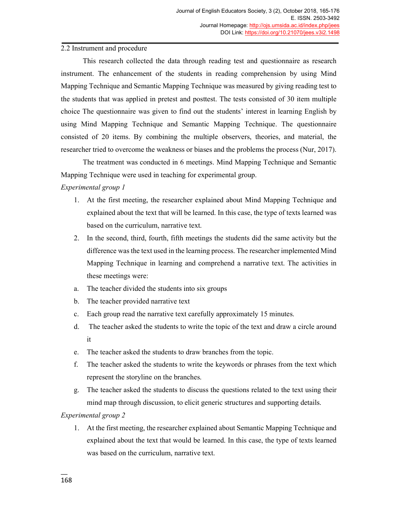# 2.2 Instrument and procedure

This research collected the data through reading test and questionnaire as research instrument. The enhancement of the students in reading comprehension by using Mind Mapping Technique and Semantic Mapping Technique was measured by giving reading test to the students that was applied in pretest and posttest. The tests consisted of 30 item multiple choice The questionnaire was given to find out the students' interest in learning English by using Mind Mapping Technique and Semantic Mapping Technique. The questionnaire consisted of 20 items. By combining the multiple observers, theories, and material, the researcher tried to overcome the weakness or biases and the problems the process (Nur, 2017).

The treatment was conducted in 6 meetings. Mind Mapping Technique and Semantic Mapping Technique were used in teaching for experimental group.

## *Experimental group 1*

- 1. At the first meeting, the researcher explained about Mind Mapping Technique and explained about the text that will be learned. In this case, the type of texts learned was based on the curriculum, narrative text.
- 2. In the second, third, fourth, fifth meetings the students did the same activity but the difference was the text used in the learning process. The researcher implemented Mind Mapping Technique in learning and comprehend a narrative text. The activities in these meetings were:
- a. The teacher divided the students into six groups
- b. The teacher provided narrative text
- c. Each group read the narrative text carefully approximately 15 minutes.
- d. The teacher asked the students to write the topic of the text and draw a circle around it
- e. The teacher asked the students to draw branches from the topic.
- f. The teacher asked the students to write the keywords or phrases from the text which represent the storyline on the branches.
- g. The teacher asked the students to discuss the questions related to the text using their mind map through discussion, to elicit generic structures and supporting details.

*Experimental group 2* 

1. At the first meeting, the researcher explained about Semantic Mapping Technique and explained about the text that would be learned. In this case, the type of texts learned was based on the curriculum, narrative text.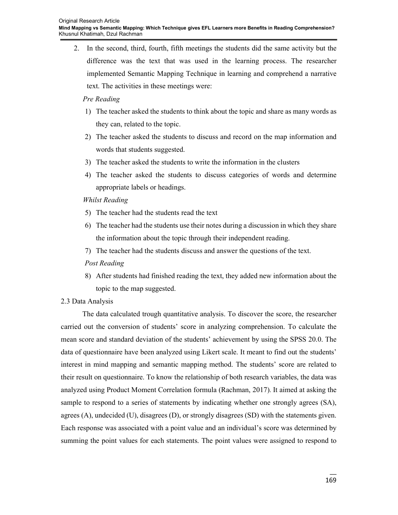2. In the second, third, fourth, fifth meetings the students did the same activity but the difference was the text that was used in the learning process. The researcher implemented Semantic Mapping Technique in learning and comprehend a narrative text. The activities in these meetings were:

### *Pre Reading*

- 1) The teacher asked the students to think about the topic and share as many words as they can, related to the topic.
- 2) The teacher asked the students to discuss and record on the map information and words that students suggested.
- 3) The teacher asked the students to write the information in the clusters
- 4) The teacher asked the students to discuss categories of words and determine appropriate labels or headings.

## *Whilst Reading*

- 5) The teacher had the students read the text
- 6) The teacher had the students use their notes during a discussion in which they share the information about the topic through their independent reading.
- 7) The teacher had the students discuss and answer the questions of the text.
- *Post Reading*
- 8) After students had finished reading the text, they added new information about the topic to the map suggested.

## 2.3 Data Analysis

The data calculated trough quantitative analysis. To discover the score, the researcher carried out the conversion of students' score in analyzing comprehension. To calculate the mean score and standard deviation of the students' achievement by using the SPSS 20.0. The data of questionnaire have been analyzed using Likert scale. It meant to find out the students' interest in mind mapping and semantic mapping method. The students' score are related to their result on questionnaire. To know the relationship of both research variables, the data was analyzed using Product Moment Correlation formula (Rachman, 2017). It aimed at asking the sample to respond to a series of statements by indicating whether one strongly agrees (SA), agrees (A), undecided (U), disagrees (D), or strongly disagrees (SD) with the statements given. Each response was associated with a point value and an individual's score was determined by summing the point values for each statements. The point values were assigned to respond to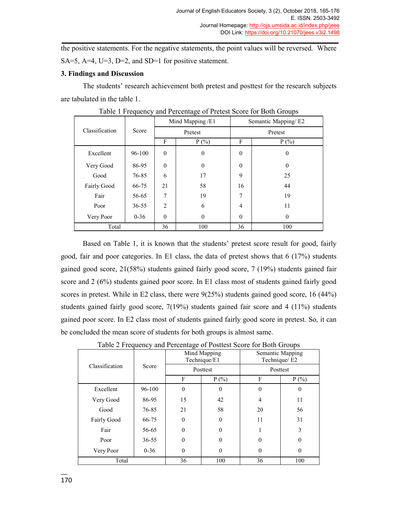the positive statements. For the negative statements, the point values will be reversed. Where SA=5, A=4, U=3, D=2, and SD=1 for positive statement.

### **3. Findings and Discussion**

The students' research achievement both pretest and posttest for the research subjects are tabulated in the table 1.

|                | Score     | Mind Mapping /E1 |          | Semantic Mapping/E2 |              |
|----------------|-----------|------------------|----------|---------------------|--------------|
| Classification |           | Pretest          |          | Pretest             |              |
|                |           | F                | $P(\% )$ | F                   | $P(\% )$     |
| Excellent      | 96-100    | $\theta$         | $\theta$ | $\mathbf{0}$        | $\mathbf{0}$ |
| Very Good      | 86-95     | $\theta$         | $\theta$ | $\theta$            | $\mathbf{0}$ |
| Good           | 76-85     | 6                | 17       | 9                   | 25           |
| Fairly Good    | 66-75     | 21               | 58       | 16                  | 44           |
| Fair           | 56-65     | 7                | 19       | 7                   | 19           |
| Poor           | $36 - 55$ | $\mathfrak{D}$   | 6        | $\overline{4}$      | 11           |
| Very Poor      | $0 - 36$  | $\theta$         | $\theta$ | $\theta$            | $\theta$     |
| Total          |           | 36               | 100      | 36                  | 100          |

Table 1 Frequency and Percentage of Pretest Score for Both Groups

Based on Table 1, it is known that the students' pretest score result for good, fairly good, fair and poor categories. In E1 class, the data of pretest shows that  $6 \left( \frac{17}{\%} \right)$  students gained good score, 21(58%) students gained fairly good score, 7 (19%) students gained fair score and 2 (6%) students gained poor score. In E1 class most of students gained fairly good scores in pretest. While in E2 class, there were 9(25%) students gained good score, 16 (44%) students gained fairly good score, 7(19%) students gained fair score and 4 (11%) students gained poor score. In E2 class most of students gained fairly good score in pretest. So, it can be concluded the mean score of students for both groups is almost same.

|                         |           | Mind Mapping<br>Technique/E1 |          | Semantic Mapping<br>Technique/E2 |          |
|-------------------------|-----------|------------------------------|----------|----------------------------------|----------|
| Classification<br>Score |           |                              | Posttest | Posttest                         |          |
|                         |           | F                            | $P(\% )$ | F                                | $P(\%)$  |
| Excellent               | 96-100    | $\theta$                     | 0        | $\theta$                         | $\theta$ |
| Very Good               | 86-95     | 15                           | 42       | 4                                | 11       |
| Good                    | 76-85     | 21                           | 58       | 20                               | 56       |
| Fairly Good             | 66-75     | $\theta$                     | $\theta$ | 11                               | 31       |
| Fair                    | 56-65     | $\theta$                     | 0        | 1                                | 3        |
| Poor                    | $36 - 55$ | $\theta$                     | 0        | $\theta$                         | $\theta$ |
| Very Poor               | $0 - 36$  | $\theta$                     | $\theta$ | $\theta$                         | $\theta$ |
| Total                   |           | 36                           | 100      | 36                               | 100      |

Table 2 Frequency and Percentage of Posttest Score for Both Groups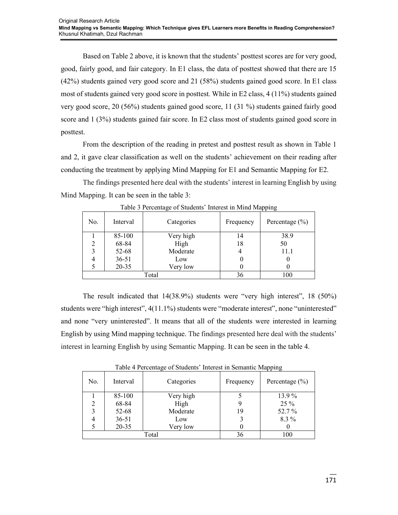Based on Table 2 above, it is known that the students' posttest scores are for very good, good, fairly good, and fair category. In E1 class, the data of posttest showed that there are 15 (42%) students gained very good score and 21 (58%) students gained good score. In E1 class most of students gained very good score in posttest. While in E2 class, 4 (11%) students gained very good score, 20 (56%) students gained good score, 11 (31 %) students gained fairly good score and 1 (3%) students gained fair score. In E2 class most of students gained good score in posttest.

From the description of the reading in pretest and posttest result as shown in Table 1 and 2, it gave clear classification as well on the students' achievement on their reading after conducting the treatment by applying Mind Mapping for E1 and Semantic Mapping for E2.

The findings presented here deal with the students' interest in learning English by using Mind Mapping. It can be seen in the table 3:

| No.   | Interval  | Categories | Frequency | . .<br>Percentage $(\% )$ |
|-------|-----------|------------|-----------|---------------------------|
|       | 85-100    | Very high  | 14        | 38.9                      |
|       | 68-84     | High       | 18        | 50                        |
|       | 52-68     | Moderate   |           | 11.1                      |
|       | $36 - 51$ | Low        |           | U                         |
|       | $20 - 35$ | Very low   |           |                           |
| Total |           |            | 36        | 100                       |

Table 3 Percentage of Students' Interest in Mind Mapping

The result indicated that 14(38.9%) students were "very high interest", 18 (50%) students were "high interest", 4(11.1%) students were "moderate interest", none "uninterested" and none "very uninterested". It means that all of the students were interested in learning English by using Mind mapping technique. The findings presented here deal with the students' interest in learning English by using Semantic Mapping. It can be seen in the table 4.

| raore + r creeninge or statemes interest in semantic trapping |           |            |           |                    |
|---------------------------------------------------------------|-----------|------------|-----------|--------------------|
| No.                                                           | Interval  | Categories | Frequency | Percentage $(\% )$ |
|                                                               | 85-100    | Very high  |           | 13.9%              |
| $\overline{2}$                                                | 68-84     | High       |           | 25 %               |
| 3                                                             | 52-68     | Moderate   | 19        | 52.7%              |
|                                                               | $36 - 51$ | Low        |           | 8.3 %              |
|                                                               | $20 - 35$ | Very low   |           |                    |
| Total                                                         |           |            | 36        | 100                |

Table 4 Percentage of Students' Interest in Semantic Mapping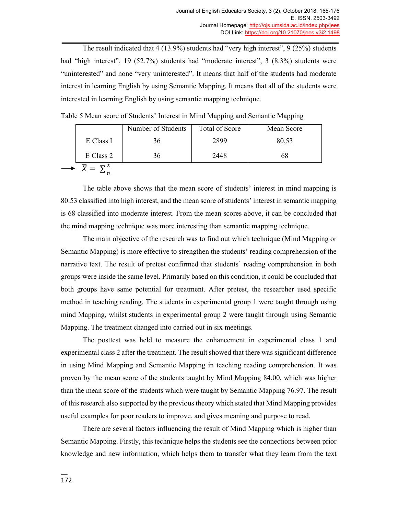The result indicated that 4 (13.9%) students had "very high interest", 9 (25%) students had "high interest", 19 (52.7%) students had "moderate interest", 3 (8.3%) students were "uninterested" and none "very uninterested". It means that half of the students had moderate interest in learning English by using Semantic Mapping. It means that all of the students were interested in learning English by using semantic mapping technique.

Table 5 Mean score of Students' Interest in Mind Mapping and Semantic Mapping

|                                 | Number of Students | Total of Score | Mean Score |
|---------------------------------|--------------------|----------------|------------|
| E Class I                       | 36                 | 2899           | 80,53      |
| E Class 2                       | 36                 | 2448           | 68         |
| $\overline{X} = \sum_{i=1}^{x}$ |                    |                |            |

The table above shows that the mean score of students' interest in mind mapping is 80.53 classified into high interest, and the mean score of students' interest in semantic mapping is 68 classified into moderate interest. From the mean scores above, it can be concluded that the mind mapping technique was more interesting than semantic mapping technique.

The main objective of the research was to find out which technique (Mind Mapping or Semantic Mapping) is more effective to strengthen the students' reading comprehension of the narrative text. The result of pretest confirmed that students' reading comprehension in both groups were inside the same level. Primarily based on this condition, it could be concluded that both groups have same potential for treatment. After pretest, the researcher used specific method in teaching reading. The students in experimental group 1 were taught through using mind Mapping, whilst students in experimental group 2 were taught through using Semantic Mapping. The treatment changed into carried out in six meetings.

The posttest was held to measure the enhancement in experimental class 1 and experimental class 2 after the treatment. The result showed that there was significant difference in using Mind Mapping and Semantic Mapping in teaching reading comprehension. It was proven by the mean score of the students taught by Mind Mapping 84.00, which was higher than the mean score of the students which were taught by Semantic Mapping 76.97. The result of this research also supported by the previous theory which stated that Mind Mapping provides useful examples for poor readers to improve, and gives meaning and purpose to read.

There are several factors influencing the result of Mind Mapping which is higher than Semantic Mapping. Firstly, this technique helps the students see the connections between prior knowledge and new information, which helps them to transfer what they learn from the text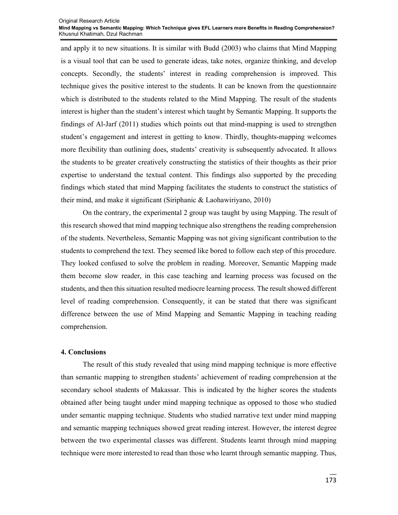#### Original Research Article **Mind Mapping vs Semantic Mapping: Which Technique gives EFL Learners more Benefits in Reading Comprehension?**  Khusnul Khatimah, Dzul Rachman

and apply it to new situations. It is similar with Budd (2003) who claims that Mind Mapping is a visual tool that can be used to generate ideas, take notes, organize thinking, and develop concepts. Secondly, the students' interest in reading comprehension is improved. This technique gives the positive interest to the students. It can be known from the questionnaire which is distributed to the students related to the Mind Mapping. The result of the students interest is higher than the student's interest which taught by Semantic Mapping. It supports the findings of Al-Jarf (2011) studies which points out that mind-mapping is used to strengthen student's engagement and interest in getting to know. Thirdly, thoughts-mapping welcomes more flexibility than outlining does, students' creativity is subsequently advocated. It allows the students to be greater creatively constructing the statistics of their thoughts as their prior expertise to understand the textual content. This findings also supported by the preceding findings which stated that mind Mapping facilitates the students to construct the statistics of their mind, and make it significant (Siriphanic & Laohawiriyano, 2010)

On the contrary, the experimental 2 group was taught by using Mapping. The result of this research showed that mind mapping technique also strengthens the reading comprehension of the students. Nevertheless, Semantic Mapping was not giving significant contribution to the students to comprehend the text. They seemed like bored to follow each step of this procedure. They looked confused to solve the problem in reading. Moreover, Semantic Mapping made them become slow reader, in this case teaching and learning process was focused on the students, and then this situation resulted mediocre learning process. The result showed different level of reading comprehension. Consequently, it can be stated that there was significant difference between the use of Mind Mapping and Semantic Mapping in teaching reading comprehension.

#### **4. Conclusions**

The result of this study revealed that using mind mapping technique is more effective than semantic mapping to strengthen students' achievement of reading comprehension at the secondary school students of Makassar. This is indicated by the higher scores the students obtained after being taught under mind mapping technique as opposed to those who studied under semantic mapping technique. Students who studied narrative text under mind mapping and semantic mapping techniques showed great reading interest. However, the interest degree between the two experimental classes was different. Students learnt through mind mapping technique were more interested to read than those who learnt through semantic mapping. Thus,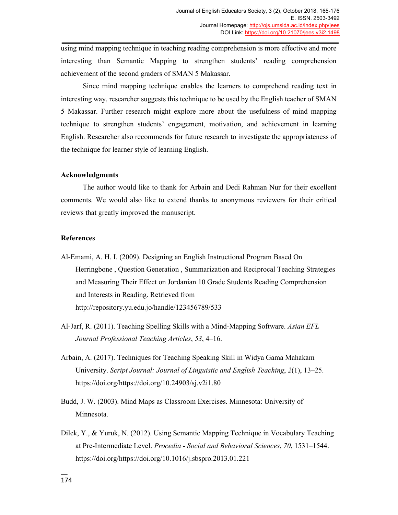using mind mapping technique in teaching reading comprehension is more effective and more interesting than Semantic Mapping to strengthen students' reading comprehension achievement of the second graders of SMAN 5 Makassar.

Since mind mapping technique enables the learners to comprehend reading text in interesting way, researcher suggests this technique to be used by the English teacher of SMAN 5 Makassar. Further research might explore more about the usefulness of mind mapping technique to strengthen students' engagement, motivation, and achievement in learning English. Researcher also recommends for future research to investigate the appropriateness of the technique for learner style of learning English.

#### **Acknowledgments**

The author would like to thank for Arbain and Dedi Rahman Nur for their excellent comments. We would also like to extend thanks to anonymous reviewers for their critical reviews that greatly improved the manuscript.

#### **References**

- Al-Emami, A. H. I. (2009). Designing an English Instructional Program Based On Herringbone , Question Generation , Summarization and Reciprocal Teaching Strategies and Measuring Their Effect on Jordanian 10 Grade Students Reading Comprehension and Interests in Reading. Retrieved from http://repository.yu.edu.jo/handle/123456789/533
- Al-Jarf, R. (2011). Teaching Spelling Skills with a Mind-Mapping Software. *Asian EFL Journal Professional Teaching Articles*, *53*, 4–16.
- Arbain, A. (2017). Techniques for Teaching Speaking Skill in Widya Gama Mahakam University. *Script Journal: Journal of Linguistic and English Teaching*, *2*(1), 13–25. https://doi.org/https://doi.org/10.24903/sj.v2i1.80
- Budd, J. W. (2003). Mind Maps as Classroom Exercises. Minnesota: University of Minnesota.
- Dilek, Y., & Yuruk, N. (2012). Using Semantic Mapping Technique in Vocabulary Teaching at Pre-Intermediate Level. *Procedia - Social and Behavioral Sciences*, *70*, 1531–1544. https://doi.org/https://doi.org/10.1016/j.sbspro.2013.01.221